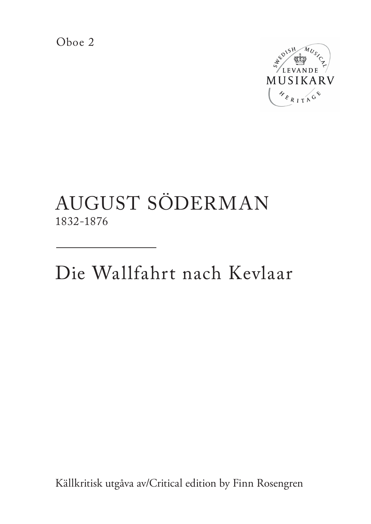Oboe 2



## AUGUST SÖDERMAN 1832-1876

Die Wallfahrt nach Kevlaar

Källkritisk utgåva av/Critical edition by Finn Rosengren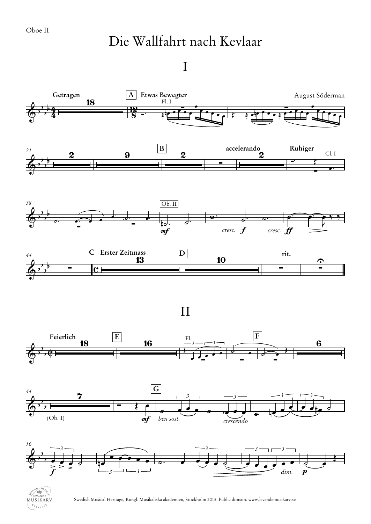## Die Wallfahrt nach Kevlaar

I





Swedish Musical Heritage, Kungl. Musikaliska akademien, Stockholm 2015. Public domain. www.levandemusikarv.se